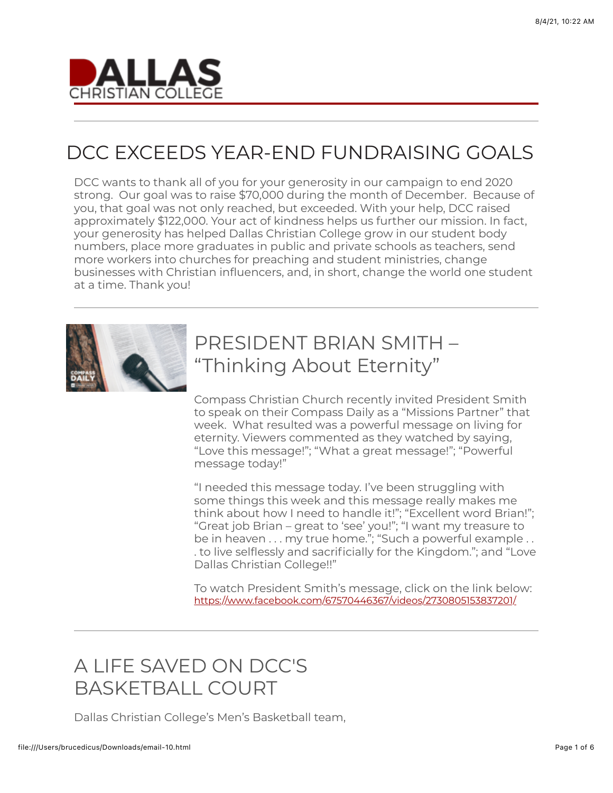

# DCC EXCEEDS YEAR-END FUNDRAISING GOALS

DCC wants to thank all of you for your generosity in our campaign to end 2020 strong. Our goal was to raise \$70,000 during the month of December. Because of you, that goal was not only reached, but exceeded. With your help, DCC raised approximately \$122,000. Your act of kindness helps us further our mission. In fact, your generosity has helped Dallas Christian College grow in our student body numbers, place more graduates in public and private schools as teachers, send more workers into churches for preaching and student ministries, change businesses with Christian influencers, and, in short, change the world one student at a time. Thank you!



# PRESIDENT BRIAN SMITH – "Thinking About Eternity"

Compass Christian Church recently invited President Smith to speak on their Compass Daily as a "Missions Partner" that week. What resulted was a powerful message on living for eternity. Viewers commented as they watched by saying, "Love this message!"; "What a great message!"; "Powerful message today!"

"I needed this message today. I've been struggling with some things this week and this message really makes me think about how I need to handle it!"; "Excellent word Brian!"; "Great job Brian – great to 'see' you!"; "I want my treasure to be in heaven . . . my true home."; "Such a powerful example . . . to live selflessly and sacrificially for the Kingdom."; and "Love Dallas Christian College!!"

To watch President Smith's message, click on the link below: <https://www.facebook.com/67570446367/videos/2730805153837201/>

# A LIFE SAVED ON DCC'S BASKETBALL COURT

Dallas Christian College's Men's Basketball team,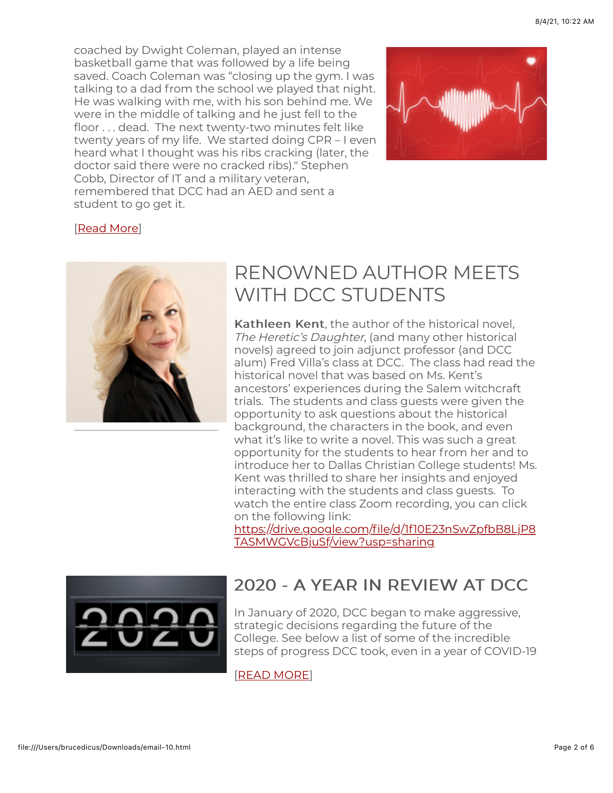coached by Dwight Coleman, played an intense basketball game that was followed by a life being saved. Coach Coleman was "closing up the gym. I was talking to a dad from the school we played that night. He was walking with me, with his son behind me. We were in the middle of talking and he just fell to the floor . . . dead. The next twenty-two minutes felt like twenty years of my life. We started doing CPR – I even heard what I thought was his ribs cracking (later, the doctor said there were no cracked ribs)." Stephen Cobb, Director of IT and a military veteran, remembered that DCC had an AED and sent a student to go get it.



#### [[Read More](https://www.dallas.edu/e-news-a-life-saved/)]



## RENOWNED AUTHOR MEETS WITH DCC STUDENTS

Kathleen Kent, the author of the historical novel. The Heretic's Daughter, (and many other historical novels) agreed to join adjunct professor (and DCC alum) Fred Villa's class at DCC. The class had read the historical novel that was based on Ms. Kent's ancestors' experiences during the Salem witchcraft trials. The students and class guests were given the opportunity to ask questions about the historical background, the characters in the book, and even what it's like to write a novel. This was such a great opportunity for the students to hear from her and to introduce her to Dallas Christian College students! Ms. Kent was thrilled to share her insights and enjoyed interacting with the students and class guests. To watch the entire class Zoom recording, you can click on the following link:

[https://drive.google.com/file/d/1f10E23nSwZpfbB8LjP8](https://drive.google.com/file/d/1f10E23nSwZpfbB8LjP8TASMWGVcBjuSf/view?usp=sharing) TASMWGVcBjuSf/view?usp=sharing



## 2020 - A YEAR IN REVIEW AT DCC 2020 - A IN REVIEW AT DCC

In January of 2020, DCC began to make aggressive, strategic decisions regarding the future of the College. See below a list of some of the incredible steps of progress DCC took, even in a year of COVID-19

#### [[READ MORE](https://www.dallas.edu/e-news-2020-in-review/)]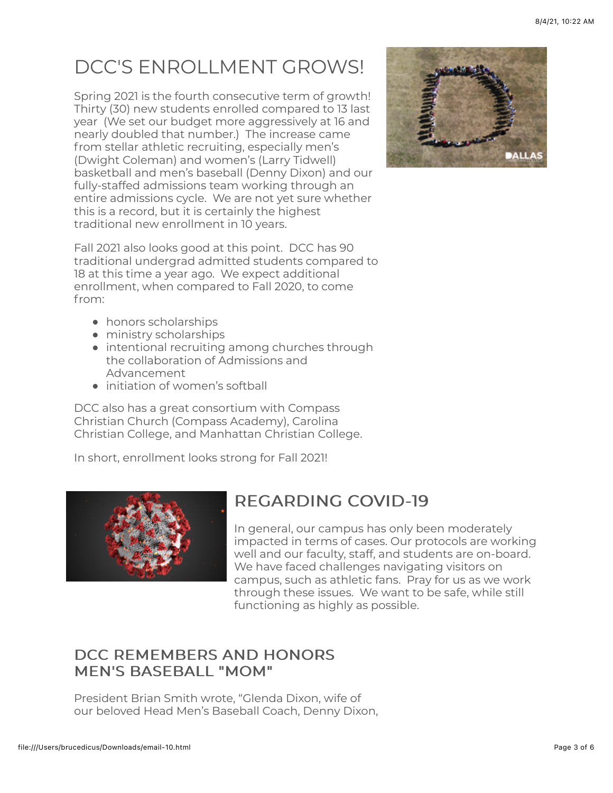# DCC'S ENROLLMENT GROWS!

Spring 2021 is the fourth consecutive term of growth! Thirty (30) new students enrolled compared to 13 last year (We set our budget more aggressively at 16 and nearly doubled that number.) The increase came from stellar athletic recruiting, especially men's (Dwight Coleman) and women's (Larry Tidwell) basketball and men's baseball (Denny Dixon) and our fully-staffed admissions team working through an entire admissions cycle. We are not yet sure whether this is a record, but it is certainly the highest traditional new enrollment in 10 years.



Fall 2021 also looks good at this point. DCC has 90 traditional undergrad admitted students compared to 18 at this time a year ago. We expect additional enrollment, when compared to Fall 2020, to come from:

- honors scholarships
- ministry scholarships
- intentional recruiting among churches through the collaboration of Admissions and Advancement
- initiation of women's softball

DCC also has a great consortium with Compass Christian Church (Compass Academy), Carolina Christian College, and Manhattan Christian College.

In short, enrollment looks strong for Fall 2021!



## REGARDING COVID-19

In general, our campus has only been moderately impacted in terms of cases. Our protocols are working well and our faculty, staff, and students are on-board. We have faced challenges navigating visitors on campus, such as athletic fans. Pray for us as we work through these issues. We want to be safe, while still functioning as highly as possible.

## DCC REMEMBERS AND HONORS MEN'S BASEBALL "MOM"

President Brian Smith wrote, "Glenda Dixon, wife of our beloved Head Men's Baseball Coach, Denny Dixon,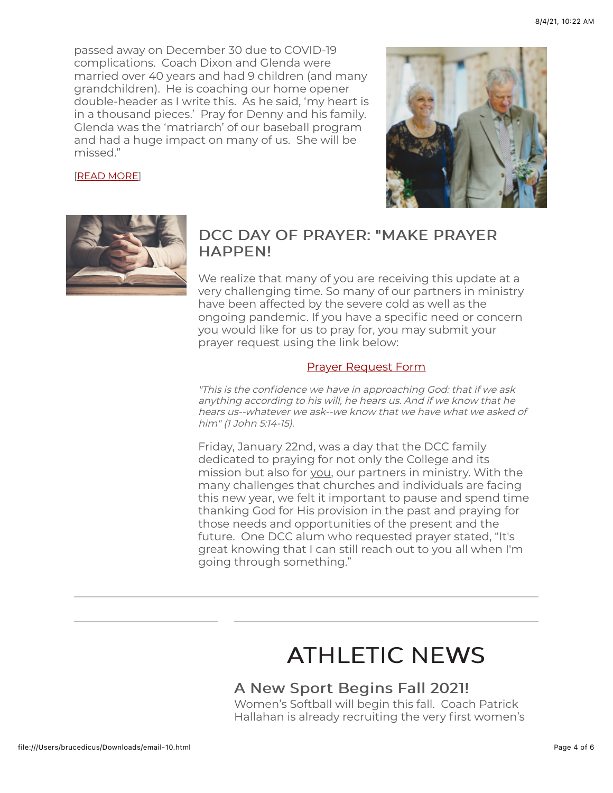passed away on December 30 due to COVID-19 complications. Coach Dixon and Glenda were married over 40 years and had 9 children (and many grandchildren). He is coaching our home opener double-header as I write this. As he said, 'my heart is in a thousand pieces.' Pray for Denny and his family. Glenda was the 'matriarch' of our baseball program and had a huge impact on many of us. She will be missed."

#### [\[READ MORE](https://www.dallas.edu/e-news-dcc-remembers/)]





### DCC DAY OF PRAYER: "MAKE PRAYER **HAPPEN!**

We realize that many of you are receiving this update at a very challenging time. So many of our partners in ministry have been affected by the severe cold as well as the ongoing pandemic. If you have a specific need or concern you would like for us to pray for, you may submit your prayer request using the link below:

#### [Prayer Request Form](https://u12533887.ct.sendgrid.net/ls/click?upn=PQIKnniIfU7mLViBAyt8QGTO3eoWmLOynStuvy6jz2Iy7Mi0TVpHmSzUr-2F34OH7jVEjozm4qL8oZdpnKoOYbLUttU3grLUNEet5QJAb1pTCwSD02Gbe-2FVALP38NNj-2BVKZTay_qtPTB-2FykikJn0VXF4yyRiILU5fbtXuOaUhUFIYo9Zcr-2FU30KasJWtW3Lt57d9NhF9JejUWtDJn2ZGxXs5ullF8-2Ba3xAa2QL6aMehul5t2Lvd8LFb6-2BvzZx6jt9pW8mHeVjQx3nlv4Jovsn-2F3w-2BIPunM2-2BHRDufJdGHM4-2Fw22yniReWzmYqbGgiXrVZ6VL2xBUCSfdSVcDakzqfNBKr4beJq2LhEDcxc-2BDkVXzJv4Y8Ad7LC5UZC-2FHY-2Bp-2FJFDuulACbHD69mDQmqQHh-2FIbsR2k-2F7XbSxodaen1CZtT-2B9CSMXt1vQn3D3fUE2hVQMvjSLTQ4xw51l5K2NXpHaV-2Bn-2BZYS6PU0kZ9dQH-2FxjpjRdBOv1hRHU-2BGbCSECaNRzT6g6uX1-2BqAlAKmyVmO3h-2BH9DVyaw-3D-3D)

"This is the confidence we have in approaching God: that if we ask anything according to his will, he hears us. And if we know that he hears us--whatever we ask--we know that we have what we asked of him" (1 John 5:14-15).

Friday, January 22nd, was a day that the DCC family dedicated to praying for not only the College and its mission but also for you, our partners in ministry. With the many challenges that churches and individuals are facing this new year, we felt it important to pause and spend time thanking God for His provision in the past and praying for those needs and opportunities of the present and the future. One DCC alum who requested prayer stated, "It's great knowing that I can still reach out to you all when I'm going through something."

# **ATHLETIC NEWS**

### A New Sport Begins Fall 2021!

Women's Softball will begin this fall. Coach Patrick Hallahan is already recruiting the very first women's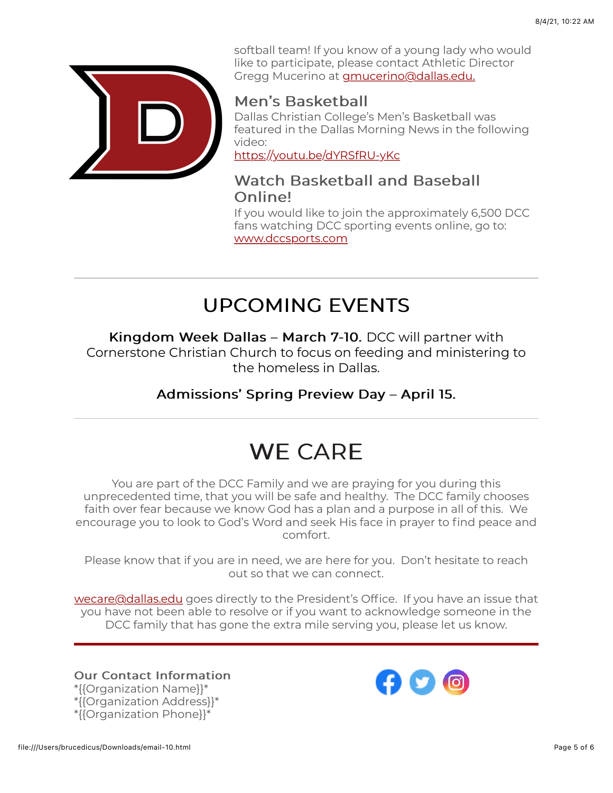

softball team! If you know of a young lady who would like to participate, please contact Athletic Director Gregg Mucerino at [gmucerino@dallas.edu.](mailto:gmucerino@dallas.edu.)

### Men's Basketball

Dallas Christian College's Men's Basketball was featured in the Dallas Morning News in the following video:

<https://youtu.be/dYRSfRU-yKc>

## Watch Basketball and Baseball Online!

If you would like to join the approximately 6,500 DCC fans watching DCC sporting events online, go to: [www.dccsports.com](http://www.dccsports.com/)

# UPCOMING EVENTS

Kingdom Week Dallas – March 7-10. DCC will partner with Cornerstone Christian Church to focus on feeding and ministering to the homeless in Dallas.

Admissions' Spring Preview Day – April 15.

# WF CARF

You are part of the DCC Family and we are praying for you during this unprecedented time, that you will be safe and healthy. The DCC family chooses faith over fear because we know God has a plan and a purpose in all of this. We encourage you to look to God's Word and seek His face in prayer to find peace and comfort.

Please know that if you are in need, we are here for you. Don't hesitate to reach out so that we can connect.

[wecare@dallas.edu](mailto:wecare@dallas.edu) goes directly to the President's Office. If you have an issue that you have not been able to resolve or if you want to acknowledge someone in the DCC family that has gone the extra mile serving you, please let us know.

**Our Contact Information** \*{{Organization Name}}\* \*{{Organization Address}}\* \*{{Organization Phone}}\*